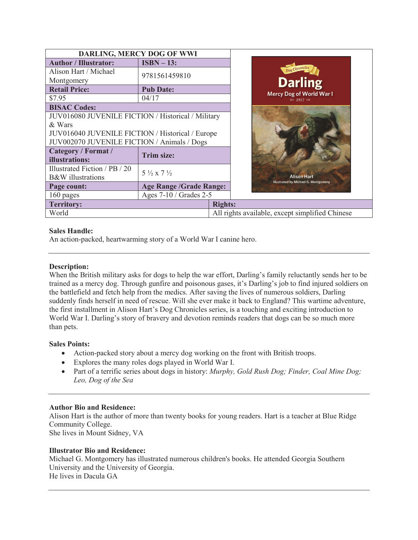| DARLING, MERCY DOG OF WWI                          |                                  |                |                                                 |                                                   |
|----------------------------------------------------|----------------------------------|----------------|-------------------------------------------------|---------------------------------------------------|
| <b>Author / Illustrator:</b>                       | $ISBN - 13:$                     |                |                                                 |                                                   |
| Alison Hart / Michael                              | 9781561459810                    |                |                                                 |                                                   |
| Montgomery                                         |                                  |                |                                                 |                                                   |
| <b>Retail Price:</b>                               | <b>Pub Date:</b>                 |                |                                                 | <b>Darling</b><br><b>Mercy Dog of World War I</b> |
| \$7.95                                             | 04/17                            |                |                                                 |                                                   |
| <b>BISAC Codes:</b>                                |                                  |                |                                                 |                                                   |
| JUV016080 JUVENILE FICTION / Historical / Military |                                  |                |                                                 |                                                   |
| & Wars                                             |                                  |                |                                                 |                                                   |
| JUV016040 JUVENILE FICTION / Historical / Europe   |                                  |                |                                                 |                                                   |
| JUV002070 JUVENILE FICTION / Animals / Dogs        |                                  |                |                                                 |                                                   |
| Category / Format /                                | <b>Trim size:</b>                |                |                                                 |                                                   |
| illustrations:                                     |                                  |                |                                                 |                                                   |
| Illustrated Fiction / PB / 20                      | $5\frac{1}{2}$ x 7 $\frac{1}{2}$ |                |                                                 |                                                   |
| <b>B&amp;W</b> illustrations                       |                                  |                |                                                 | <b>Illustrated by Michael G. Montgomery</b>       |
| Page count:                                        | <b>Age Range / Grade Range:</b>  |                |                                                 |                                                   |
| 160 pages                                          | Ages 7-10 / Grades 2-5           |                |                                                 |                                                   |
| <b>Territory:</b>                                  |                                  | <b>Rights:</b> |                                                 |                                                   |
| World                                              |                                  |                | All rights available, except simplified Chinese |                                                   |

# **Sales Handle:**

An action-packed, heartwarming story of a World War I canine hero.

### **Description:**

When the British military asks for dogs to help the war effort, Darling's family reluctantly sends her to be trained as a mercy dog. Through gunfire and poisonous gases, it's Darling's job to find injured soldiers on the battlefield and fetch help from the medics. After saving the lives of numerous soldiers, Darling suddenly finds herself in need of rescue. Will she ever make it back to England? This wartime adventure, the first installment in Alison Hart's Dog Chronicles series, is a touching and exciting introduction to World War I. Darling's story of bravery and devotion reminds readers that dogs can be so much more than pets.

#### **Sales Points:**

- Action-packed story about a mercy dog working on the front with British troops.
- · Explores the many roles dogs played in World War I.
- · Part of a terrific series about dogs in history: *Murphy, Gold Rush Dog; Finder, Coal Mine Dog; Leo, Dog of the Sea*

#### **Author Bio and Residence:**

Alison Hart is the author of more than twenty books for young readers. Hart is a teacher at Blue Ridge Community College. She lives in Mount Sidney, VA

**Illustrator Bio and Residence:** 

Michael G. Montgomery has illustrated numerous children's books. He attended Georgia Southern University and the University of Georgia. He lives in Dacula GA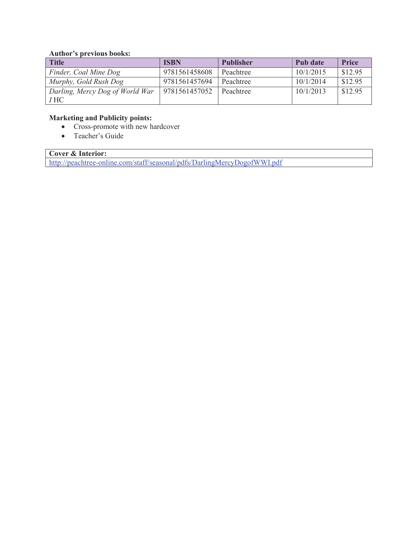#### **Author's previous books:**

| <b>Title</b>                    | <b>ISBN</b>   | <b>Publisher</b> | Pub date  | <b>Price</b> |
|---------------------------------|---------------|------------------|-----------|--------------|
| Finder, Coal Mine Dog           | 9781561458608 | Peachtree        | 10/1/2015 | \$12.95      |
| Murphy, Gold Rush Dog           | 9781561457694 | Peachtree        | 10/1/2014 | \$12.95      |
| Darling, Mercy Dog of World War | 9781561457052 | Peachtree        | 10/1/2013 | \$12.95      |
| I HC                            |               |                  |           |              |

# **Marketing and Publicity points:**

- · Cross-promote with new hardcover
- Teacher's Guide

# **Cover & Interior:**

http://peachtree-online.com/staff/seasonal/pdfs/DarlingMercyDogofWWI.pdf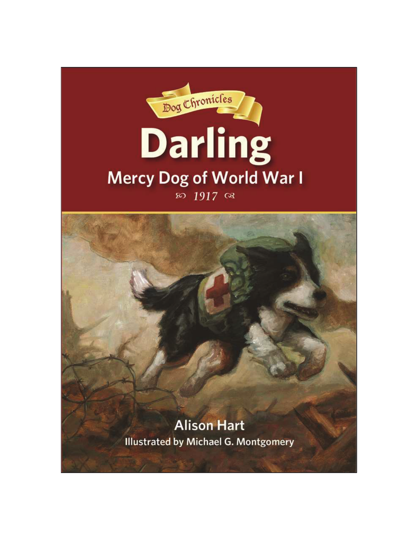

**Alison Hart Illustrated by Michael G. Montgomery**